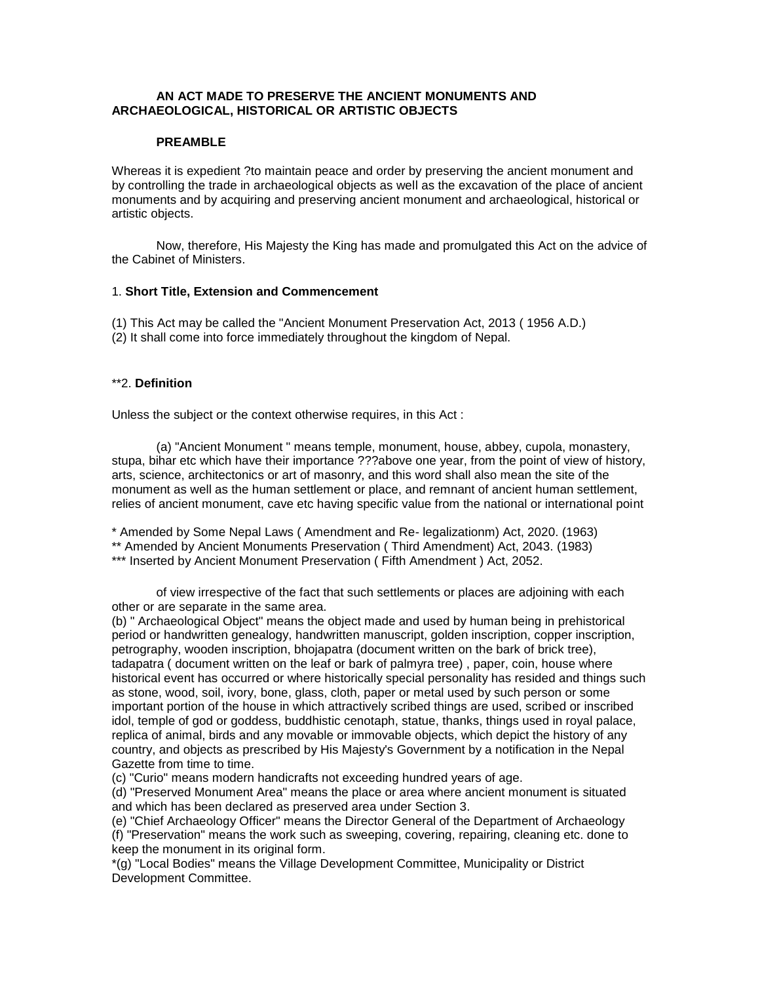## **AN ACT MADE TO PRESERVE THE ANCIENT MONUMENTS AND ARCHAEOLOGICAL, HISTORICAL OR ARTISTIC OBJECTS**

## **PREAMBLE**

Whereas it is expedient ?to maintain peace and order by preserving the ancient monument and by controlling the trade in archaeological objects as well as the excavation of the place of ancient monuments and by acquiring and preserving ancient monument and archaeological, historical or artistic objects.

Now, therefore, His Majesty the King has made and promulgated this Act on the advice of the Cabinet of Ministers.

#### 1. **Short Title, Extension and Commencement**

(1) This Act may be called the "Ancient Monument Preservation Act, 2013 ( 1956 A.D.) (2) It shall come into force immediately throughout the kingdom of Nepal.

## \*\*2. **Definition**

Unless the subject or the context otherwise requires, in this Act :

(a) "Ancient Monument " means temple, monument, house, abbey, cupola, monastery, stupa, bihar etc which have their importance ???above one year, from the point of view of history, arts, science, architectonics or art of masonry, and this word shall also mean the site of the monument as well as the human settlement or place, and remnant of ancient human settlement, relies of ancient monument, cave etc having specific value from the national or international point

\* Amended by Some Nepal Laws ( Amendment and Re- legalizationm) Act, 2020. (1963) \*\* Amended by Ancient Monuments Preservation ( Third Amendment) Act, 2043. (1983) \*\*\* Inserted by Ancient Monument Preservation ( Fifth Amendment ) Act, 2052.

of view irrespective of the fact that such settlements or places are adjoining with each other or are separate in the same area.

(b) " Archaeological Object" means the object made and used by human being in prehistorical period or handwritten genealogy, handwritten manuscript, golden inscription, copper inscription, petrography, wooden inscription, bhojapatra (document written on the bark of brick tree), tadapatra ( document written on the leaf or bark of palmyra tree) , paper, coin, house where historical event has occurred or where historically special personality has resided and things such as stone, wood, soil, ivory, bone, glass, cloth, paper or metal used by such person or some important portion of the house in which attractively scribed things are used, scribed or inscribed idol, temple of god or goddess, buddhistic cenotaph, statue, thanks, things used in royal palace, replica of animal, birds and any movable or immovable objects, which depict the history of any country, and objects as prescribed by His Majesty's Government by a notification in the Nepal Gazette from time to time.

(c) "Curio" means modern handicrafts not exceeding hundred years of age.

(d) "Preserved Monument Area" means the place or area where ancient monument is situated and which has been declared as preserved area under Section 3.

(e) "Chief Archaeology Officer" means the Director General of the Department of Archaeology (f) "Preservation" means the work such as sweeping, covering, repairing, cleaning etc. done to keep the monument in its original form.

\*(g) "Local Bodies" means the Village Development Committee, Municipality or District Development Committee.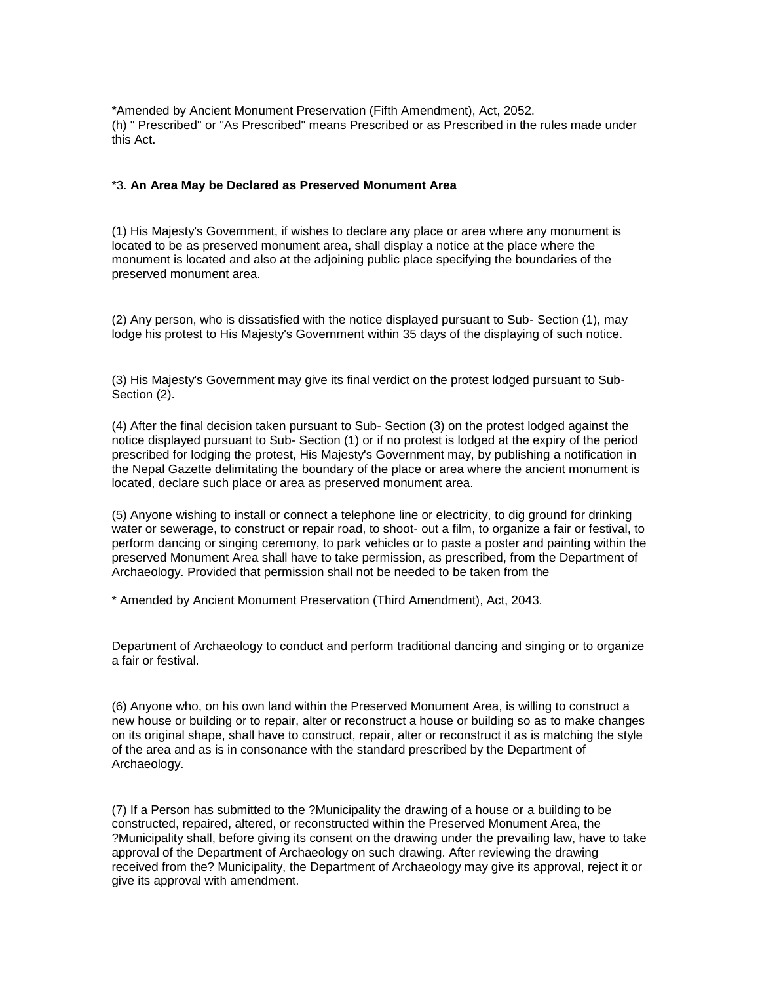\*Amended by Ancient Monument Preservation (Fifth Amendment), Act, 2052. (h) " Prescribed" or "As Prescribed" means Prescribed or as Prescribed in the rules made under this Act.

#### \*3. **An Area May be Declared as Preserved Monument Area**

(1) His Majesty's Government, if wishes to declare any place or area where any monument is located to be as preserved monument area, shall display a notice at the place where the monument is located and also at the adjoining public place specifying the boundaries of the preserved monument area.

(2) Any person, who is dissatisfied with the notice displayed pursuant to Sub- Section (1), may lodge his protest to His Majesty's Government within 35 days of the displaying of such notice.

(3) His Majesty's Government may give its final verdict on the protest lodged pursuant to Sub-Section (2).

(4) After the final decision taken pursuant to Sub- Section (3) on the protest lodged against the notice displayed pursuant to Sub- Section (1) or if no protest is lodged at the expiry of the period prescribed for lodging the protest, His Majesty's Government may, by publishing a notification in the Nepal Gazette delimitating the boundary of the place or area where the ancient monument is located, declare such place or area as preserved monument area.

(5) Anyone wishing to install or connect a telephone line or electricity, to dig ground for drinking water or sewerage, to construct or repair road, to shoot- out a film, to organize a fair or festival, to perform dancing or singing ceremony, to park vehicles or to paste a poster and painting within the preserved Monument Area shall have to take permission, as prescribed, from the Department of Archaeology. Provided that permission shall not be needed to be taken from the

\* Amended by Ancient Monument Preservation (Third Amendment), Act, 2043.

Department of Archaeology to conduct and perform traditional dancing and singing or to organize a fair or festival.

(6) Anyone who, on his own land within the Preserved Monument Area, is willing to construct a new house or building or to repair, alter or reconstruct a house or building so as to make changes on its original shape, shall have to construct, repair, alter or reconstruct it as is matching the style of the area and as is in consonance with the standard prescribed by the Department of Archaeology.

(7) If a Person has submitted to the ?Municipality the drawing of a house or a building to be constructed, repaired, altered, or reconstructed within the Preserved Monument Area, the ?Municipality shall, before giving its consent on the drawing under the prevailing law, have to take approval of the Department of Archaeology on such drawing. After reviewing the drawing received from the? Municipality, the Department of Archaeology may give its approval, reject it or give its approval with amendment.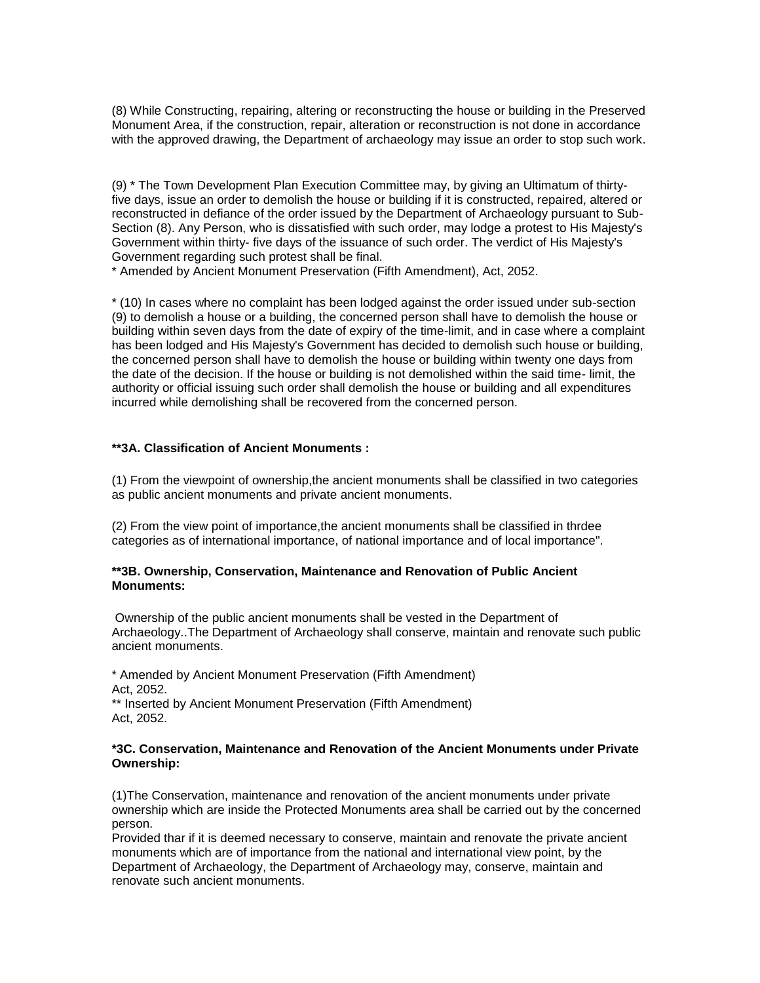(8) While Constructing, repairing, altering or reconstructing the house or building in the Preserved Monument Area, if the construction, repair, alteration or reconstruction is not done in accordance with the approved drawing, the Department of archaeology may issue an order to stop such work.

(9) \* The Town Development Plan Execution Committee may, by giving an Ultimatum of thirtyfive days, issue an order to demolish the house or building if it is constructed, repaired, altered or reconstructed in defiance of the order issued by the Department of Archaeology pursuant to Sub-Section (8). Any Person, who is dissatisfied with such order, may lodge a protest to His Majesty's Government within thirty- five days of the issuance of such order. The verdict of His Majesty's Government regarding such protest shall be final.

\* Amended by Ancient Monument Preservation (Fifth Amendment), Act, 2052.

\* (10) In cases where no complaint has been lodged against the order issued under sub-section (9) to demolish a house or a building, the concerned person shall have to demolish the house or building within seven days from the date of expiry of the time-limit, and in case where a complaint has been lodged and His Majesty's Government has decided to demolish such house or building, the concerned person shall have to demolish the house or building within twenty one days from the date of the decision. If the house or building is not demolished within the said time- limit, the authority or official issuing such order shall demolish the house or building and all expenditures incurred while demolishing shall be recovered from the concerned person.

## **\*\*3A. Classification of Ancient Monuments :**

(1) From the viewpoint of ownership,the ancient monuments shall be classified in two categories as public ancient monuments and private ancient monuments.

(2) From the view point of importance,the ancient monuments shall be classified in thrdee categories as of international importance, of national importance and of local importance".

### **\*\*3B. Ownership, Conservation, Maintenance and Renovation of Public Ancient Monuments:**

Ownership of the public ancient monuments shall be vested in the Department of Archaeology..The Department of Archaeology shall conserve, maintain and renovate such public ancient monuments.

\* Amended by Ancient Monument Preservation (Fifth Amendment) Act, 2052.

\*\* Inserted by Ancient Monument Preservation (Fifth Amendment) Act, 2052.

### **\*3C. Conservation, Maintenance and Renovation of the Ancient Monuments under Private Ownership:**

(1)The Conservation, maintenance and renovation of the ancient monuments under private ownership which are inside the Protected Monuments area shall be carried out by the concerned person.

Provided thar if it is deemed necessary to conserve, maintain and renovate the private ancient monuments which are of importance from the national and international view point, by the Department of Archaeology, the Department of Archaeology may, conserve, maintain and renovate such ancient monuments.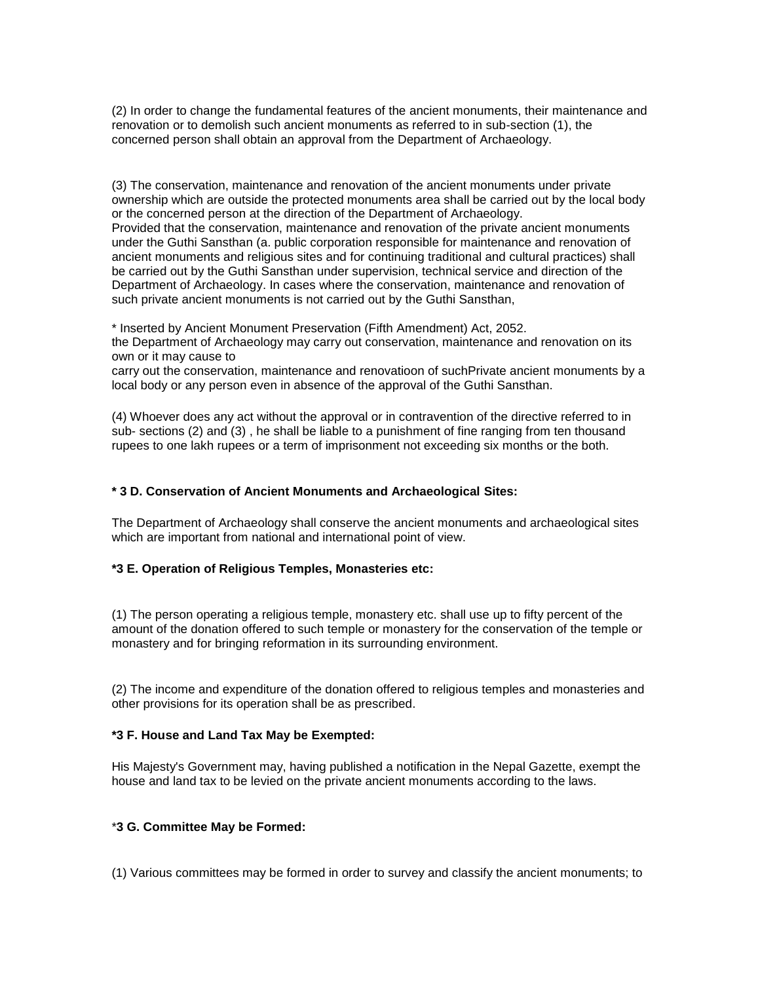(2) In order to change the fundamental features of the ancient monuments, their maintenance and renovation or to demolish such ancient monuments as referred to in sub-section (1), the concerned person shall obtain an approval from the Department of Archaeology.

(3) The conservation, maintenance and renovation of the ancient monuments under private ownership which are outside the protected monuments area shall be carried out by the local body or the concerned person at the direction of the Department of Archaeology. Provided that the conservation, maintenance and renovation of the private ancient monuments under the Guthi Sansthan (a. public corporation responsible for maintenance and renovation of ancient monuments and religious sites and for continuing traditional and cultural practices) shall be carried out by the Guthi Sansthan under supervision, technical service and direction of the Department of Archaeology. In cases where the conservation, maintenance and renovation of such private ancient monuments is not carried out by the Guthi Sansthan,

\* Inserted by Ancient Monument Preservation (Fifth Amendment) Act, 2052. the Department of Archaeology may carry out conservation, maintenance and renovation on its own or it may cause to

carry out the conservation, maintenance and renovatioon of suchPrivate ancient monuments by a local body or any person even in absence of the approval of the Guthi Sansthan.

(4) Whoever does any act without the approval or in contravention of the directive referred to in sub- sections (2) and (3) , he shall be liable to a punishment of fine ranging from ten thousand rupees to one lakh rupees or a term of imprisonment not exceeding six months or the both.

## **\* 3 D. Conservation of Ancient Monuments and Archaeological Sites:**

The Department of Archaeology shall conserve the ancient monuments and archaeological sites which are important from national and international point of view.

## **\*3 E. Operation of Religious Temples, Monasteries etc:**

(1) The person operating a religious temple, monastery etc. shall use up to fifty percent of the amount of the donation offered to such temple or monastery for the conservation of the temple or monastery and for bringing reformation in its surrounding environment.

(2) The income and expenditure of the donation offered to religious temples and monasteries and other provisions for its operation shall be as prescribed.

## **\*3 F. House and Land Tax May be Exempted:**

His Majesty's Government may, having published a notification in the Nepal Gazette, exempt the house and land tax to be levied on the private ancient monuments according to the laws.

## \***3 G. Committee May be Formed:**

(1) Various committees may be formed in order to survey and classify the ancient monuments; to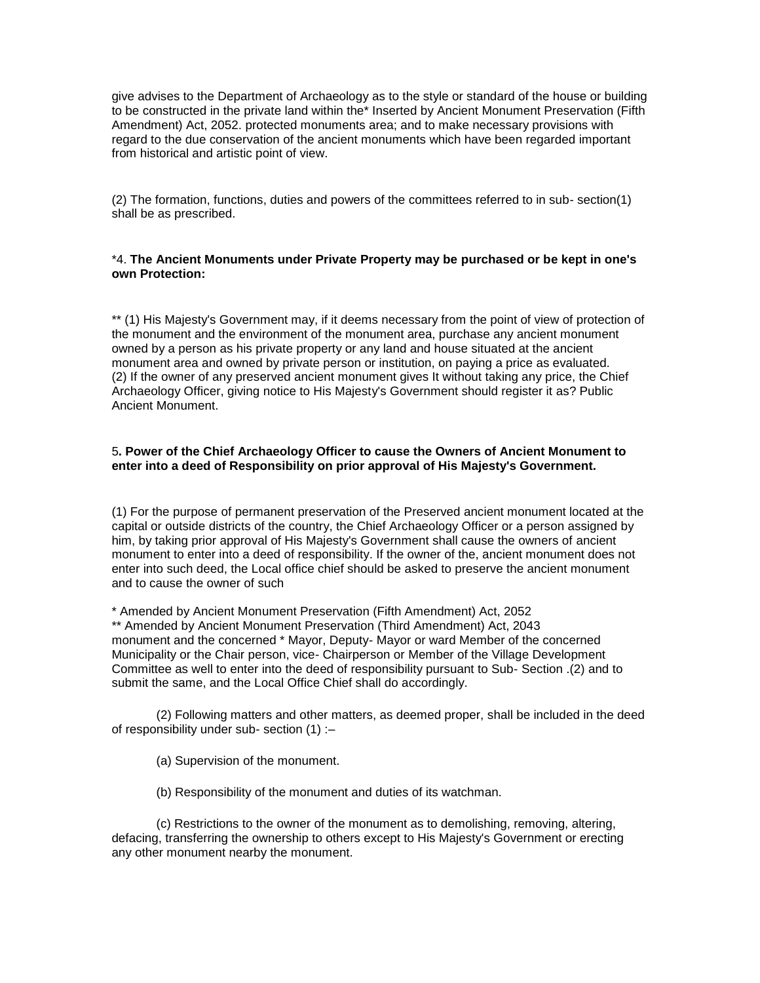give advises to the Department of Archaeology as to the style or standard of the house or building to be constructed in the private land within the\* Inserted by Ancient Monument Preservation (Fifth Amendment) Act, 2052. protected monuments area; and to make necessary provisions with regard to the due conservation of the ancient monuments which have been regarded important from historical and artistic point of view.

(2) The formation, functions, duties and powers of the committees referred to in sub- section(1) shall be as prescribed.

## \*4. **The Ancient Monuments under Private Property may be purchased or be kept in one's own Protection:**

\*\* (1) His Majesty's Government may, if it deems necessary from the point of view of protection of the monument and the environment of the monument area, purchase any ancient monument owned by a person as his private property or any land and house situated at the ancient monument area and owned by private person or institution, on paying a price as evaluated. (2) If the owner of any preserved ancient monument gives It without taking any price, the Chief Archaeology Officer, giving notice to His Majesty's Government should register it as? Public Ancient Monument.

## 5**. Power of the Chief Archaeology Officer to cause the Owners of Ancient Monument to enter into a deed of Responsibility on prior approval of His Majesty's Government.**

(1) For the purpose of permanent preservation of the Preserved ancient monument located at the capital or outside districts of the country, the Chief Archaeology Officer or a person assigned by him, by taking prior approval of His Majesty's Government shall cause the owners of ancient monument to enter into a deed of responsibility. If the owner of the, ancient monument does not enter into such deed, the Local office chief should be asked to preserve the ancient monument and to cause the owner of such

\* Amended by Ancient Monument Preservation (Fifth Amendment) Act, 2052 \*\* Amended by Ancient Monument Preservation (Third Amendment) Act, 2043 monument and the concerned \* Mayor, Deputy- Mayor or ward Member of the concerned Municipality or the Chair person, vice- Chairperson or Member of the Village Development Committee as well to enter into the deed of responsibility pursuant to Sub- Section .(2) and to submit the same, and the Local Office Chief shall do accordingly.

(2) Following matters and other matters, as deemed proper, shall be included in the deed of responsibility under sub- section (1) :–

- (a) Supervision of the monument.
- (b) Responsibility of the monument and duties of its watchman.

(c) Restrictions to the owner of the monument as to demolishing, removing, altering, defacing, transferring the ownership to others except to His Majesty's Government or erecting any other monument nearby the monument.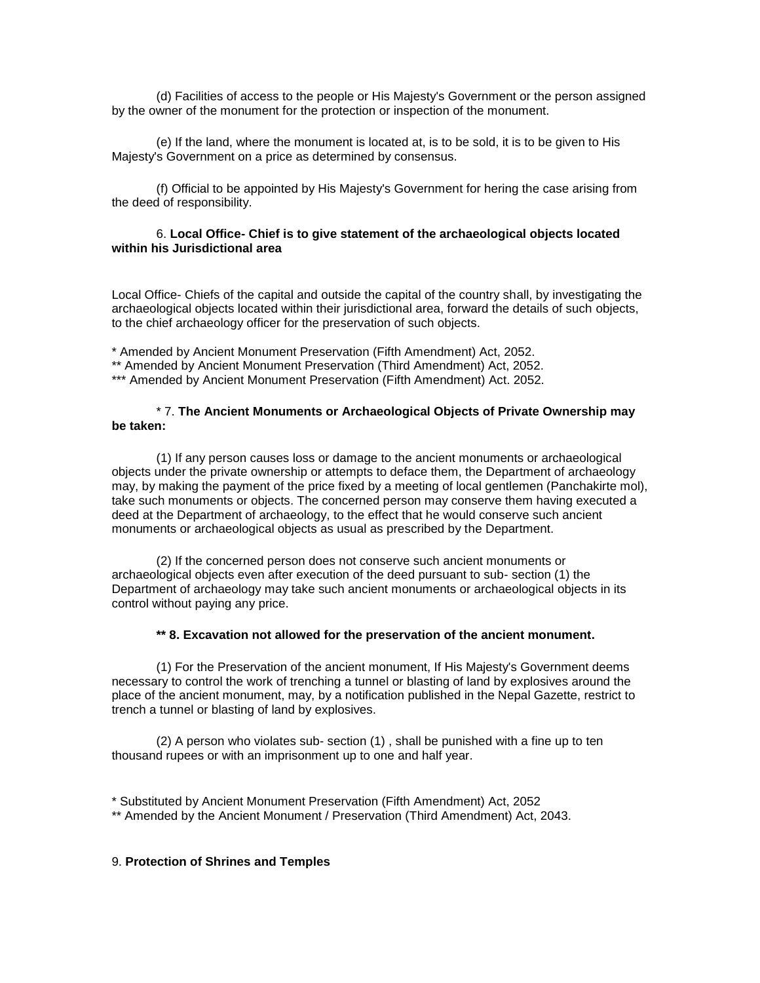(d) Facilities of access to the people or His Majesty's Government or the person assigned by the owner of the monument for the protection or inspection of the monument.

(e) If the land, where the monument is located at, is to be sold, it is to be given to His Majesty's Government on a price as determined by consensus.

(f) Official to be appointed by His Majesty's Government for hering the case arising from the deed of responsibility.

## 6. **Local Office- Chief is to give statement of the archaeological objects located within his Jurisdictional area**

Local Office- Chiefs of the capital and outside the capital of the country shall, by investigating the archaeological objects located within their jurisdictional area, forward the details of such objects, to the chief archaeology officer for the preservation of such objects.

\* Amended by Ancient Monument Preservation (Fifth Amendment) Act, 2052.

\*\* Amended by Ancient Monument Preservation (Third Amendment) Act, 2052.

\*\*\* Amended by Ancient Monument Preservation (Fifth Amendment) Act. 2052.

#### \* 7. **The Ancient Monuments or Archaeological Objects of Private Ownership may be taken:**

(1) If any person causes loss or damage to the ancient monuments or archaeological objects under the private ownership or attempts to deface them, the Department of archaeology may, by making the payment of the price fixed by a meeting of local gentlemen (Panchakirte mol), take such monuments or objects. The concerned person may conserve them having executed a deed at the Department of archaeology, to the effect that he would conserve such ancient monuments or archaeological objects as usual as prescribed by the Department.

(2) If the concerned person does not conserve such ancient monuments or archaeological objects even after execution of the deed pursuant to sub- section (1) the Department of archaeology may take such ancient monuments or archaeological objects in its control without paying any price.

#### **\*\* 8. Excavation not allowed for the preservation of the ancient monument.**

(1) For the Preservation of the ancient monument, If His Majesty's Government deems necessary to control the work of trenching a tunnel or blasting of land by explosives around the place of the ancient monument, may, by a notification published in the Nepal Gazette, restrict to trench a tunnel or blasting of land by explosives.

(2) A person who violates sub- section (1) , shall be punished with a fine up to ten thousand rupees or with an imprisonment up to one and half year.

\* Substituted by Ancient Monument Preservation (Fifth Amendment) Act, 2052

\*\* Amended by the Ancient Monument / Preservation (Third Amendment) Act, 2043.

#### 9. **Protection of Shrines and Temples**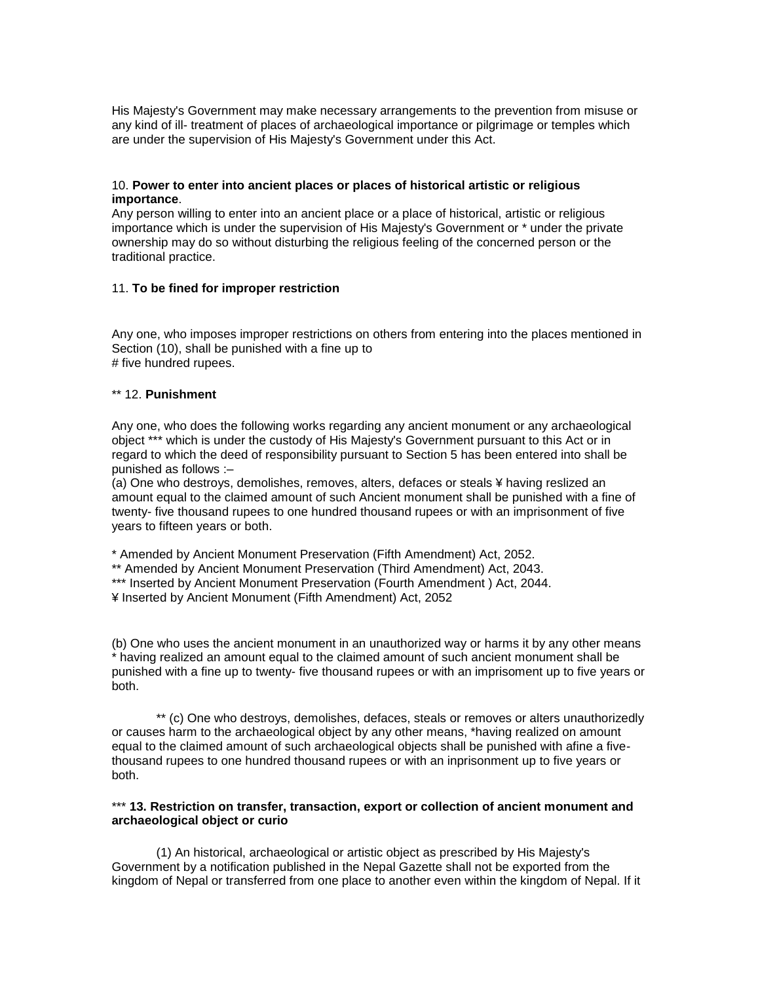His Majesty's Government may make necessary arrangements to the prevention from misuse or any kind of ill- treatment of places of archaeological importance or pilgrimage or temples which are under the supervision of His Majesty's Government under this Act.

### 10. **Power to enter into ancient places or places of historical artistic or religious importance**.

Any person willing to enter into an ancient place or a place of historical, artistic or religious importance which is under the supervision of His Majesty's Government or \* under the private ownership may do so without disturbing the religious feeling of the concerned person or the traditional practice.

## 11. **To be fined for improper restriction**

Any one, who imposes improper restrictions on others from entering into the places mentioned in Section (10), shall be punished with a fine up to # five hundred rupees.

#### \*\* 12. **Punishment**

Any one, who does the following works regarding any ancient monument or any archaeological object \*\*\* which is under the custody of His Majesty's Government pursuant to this Act or in regard to which the deed of responsibility pursuant to Section 5 has been entered into shall be punished as follows :–

(a) One who destroys, demolishes, removes, alters, defaces or steals ¥ having reslized an amount equal to the claimed amount of such Ancient monument shall be punished with a fine of twenty- five thousand rupees to one hundred thousand rupees or with an imprisonment of five years to fifteen years or both.

\* Amended by Ancient Monument Preservation (Fifth Amendment) Act, 2052.

- \*\* Amended by Ancient Monument Preservation (Third Amendment) Act, 2043.
- \*\*\* Inserted by Ancient Monument Preservation (Fourth Amendment) Act, 2044.

¥ Inserted by Ancient Monument (Fifth Amendment) Act, 2052

(b) One who uses the ancient monument in an unauthorized way or harms it by any other means \* having realized an amount equal to the claimed amount of such ancient monument shall be punished with a fine up to twenty- five thousand rupees or with an imprisoment up to five years or both.

\*\* (c) One who destroys, demolishes, defaces, steals or removes or alters unauthorizedly or causes harm to the archaeological object by any other means, \*having realized on amount equal to the claimed amount of such archaeological objects shall be punished with afine a fivethousand rupees to one hundred thousand rupees or with an inprisonment up to five years or both.

## \*\*\* 13. Restriction on transfer, transaction, export or collection of ancient monument and **archaeological object or curio**

(1) An historical, archaeological or artistic object as prescribed by His Majesty's Government by a notification published in the Nepal Gazette shall not be exported from the kingdom of Nepal or transferred from one place to another even within the kingdom of Nepal. If it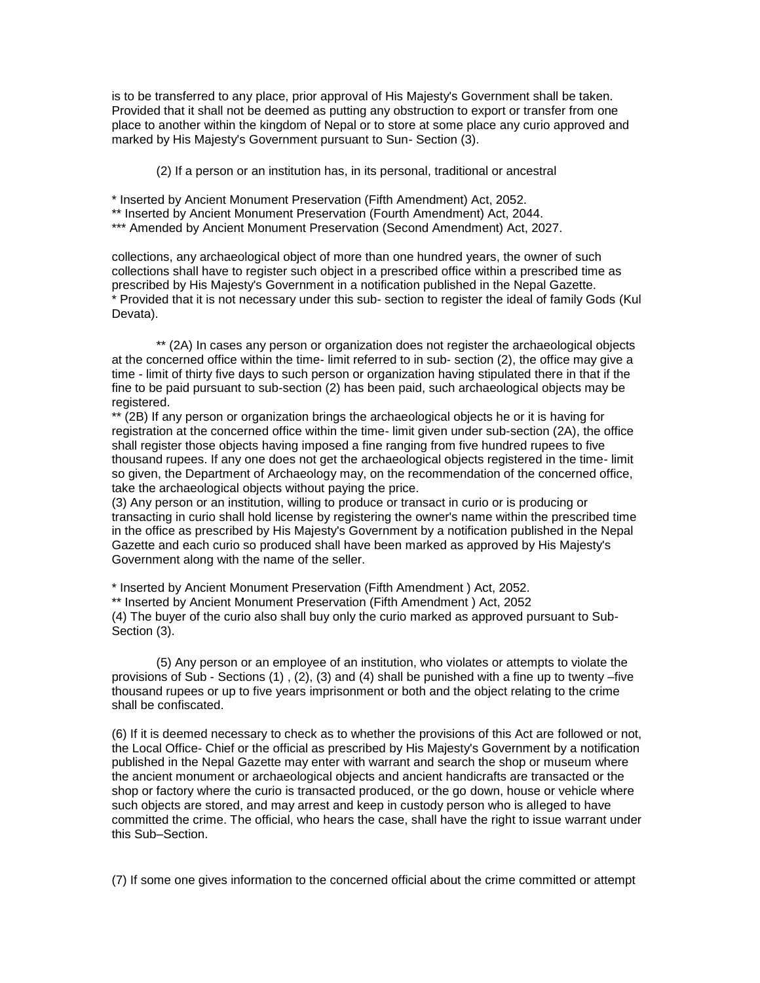is to be transferred to any place, prior approval of His Majesty's Government shall be taken. Provided that it shall not be deemed as putting any obstruction to export or transfer from one place to another within the kingdom of Nepal or to store at some place any curio approved and marked by His Majesty's Government pursuant to Sun- Section (3).

(2) If a person or an institution has, in its personal, traditional or ancestral

\* Inserted by Ancient Monument Preservation (Fifth Amendment) Act, 2052.

\*\* Inserted by Ancient Monument Preservation (Fourth Amendment) Act, 2044.

\*\*\* Amended by Ancient Monument Preservation (Second Amendment) Act, 2027.

collections, any archaeological object of more than one hundred years, the owner of such collections shall have to register such object in a prescribed office within a prescribed time as prescribed by His Majesty's Government in a notification published in the Nepal Gazette. \* Provided that it is not necessary under this sub- section to register the ideal of family Gods (Kul Devata).

\*\* (2A) In cases any person or organization does not register the archaeological objects at the concerned office within the time- limit referred to in sub- section (2), the office may give a time - limit of thirty five days to such person or organization having stipulated there in that if the fine to be paid pursuant to sub-section (2) has been paid, such archaeological objects may be registered.

\*\* (2B) If any person or organization brings the archaeological objects he or it is having for registration at the concerned office within the time- limit given under sub-section (2A), the office shall register those objects having imposed a fine ranging from five hundred rupees to five thousand rupees. If any one does not get the archaeological objects registered in the time- limit so given, the Department of Archaeology may, on the recommendation of the concerned office, take the archaeological objects without paying the price.

(3) Any person or an institution, willing to produce or transact in curio or is producing or transacting in curio shall hold license by registering the owner's name within the prescribed time in the office as prescribed by His Majesty's Government by a notification published in the Nepal Gazette and each curio so produced shall have been marked as approved by His Majesty's Government along with the name of the seller.

\* Inserted by Ancient Monument Preservation (Fifth Amendment ) Act, 2052.

\*\* Inserted by Ancient Monument Preservation (Fifth Amendment ) Act, 2052

(4) The buyer of the curio also shall buy only the curio marked as approved pursuant to Sub-Section (3).

(5) Any person or an employee of an institution, who violates or attempts to violate the provisions of Sub - Sections (1) , (2), (3) and (4) shall be punished with a fine up to twenty –five thousand rupees or up to five years imprisonment or both and the object relating to the crime shall be confiscated.

(6) If it is deemed necessary to check as to whether the provisions of this Act are followed or not, the Local Office- Chief or the official as prescribed by His Majesty's Government by a notification published in the Nepal Gazette may enter with warrant and search the shop or museum where the ancient monument or archaeological objects and ancient handicrafts are transacted or the shop or factory where the curio is transacted produced, or the go down, house or vehicle where such objects are stored, and may arrest and keep in custody person who is alleged to have committed the crime. The official, who hears the case, shall have the right to issue warrant under this Sub–Section.

(7) If some one gives information to the concerned official about the crime committed or attempt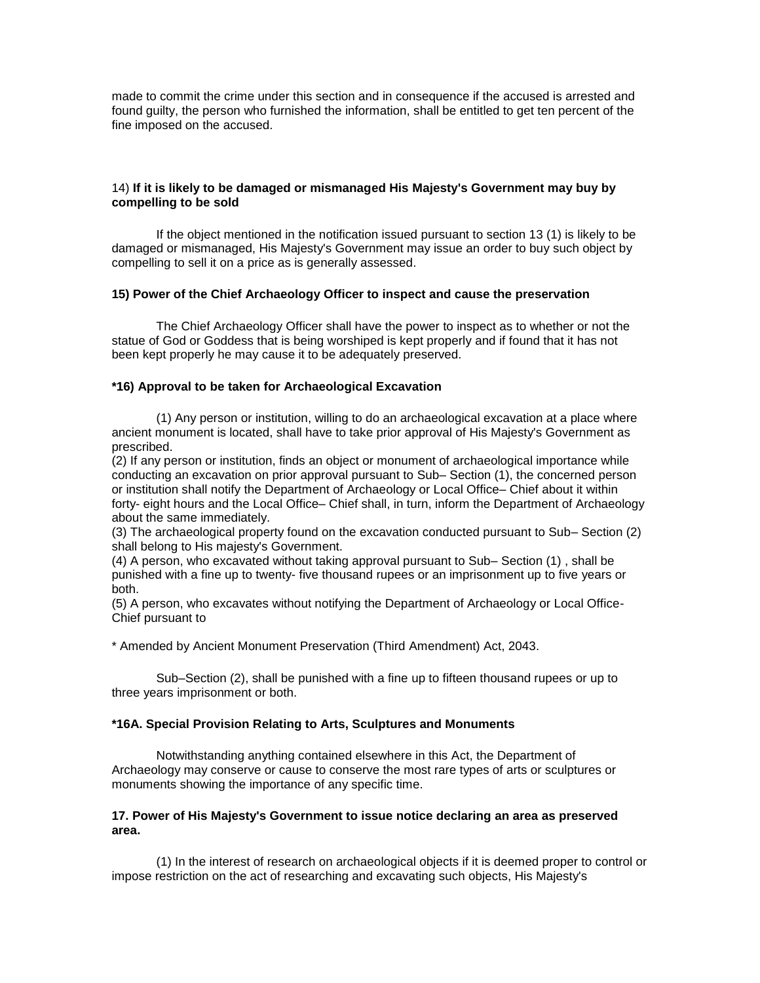made to commit the crime under this section and in consequence if the accused is arrested and found guilty, the person who furnished the information, shall be entitled to get ten percent of the fine imposed on the accused.

## 14) **If it is likely to be damaged or mismanaged His Majesty's Government may buy by compelling to be sold**

If the object mentioned in the notification issued pursuant to section 13 (1) is likely to be damaged or mismanaged, His Majesty's Government may issue an order to buy such object by compelling to sell it on a price as is generally assessed.

#### **15) Power of the Chief Archaeology Officer to inspect and cause the preservation**

The Chief Archaeology Officer shall have the power to inspect as to whether or not the statue of God or Goddess that is being worshiped is kept properly and if found that it has not been kept properly he may cause it to be adequately preserved.

#### **\*16) Approval to be taken for Archaeological Excavation**

(1) Any person or institution, willing to do an archaeological excavation at a place where ancient monument is located, shall have to take prior approval of His Majesty's Government as prescribed.

(2) If any person or institution, finds an object or monument of archaeological importance while conducting an excavation on prior approval pursuant to Sub– Section (1), the concerned person or institution shall notify the Department of Archaeology or Local Office– Chief about it within forty- eight hours and the Local Office– Chief shall, in turn, inform the Department of Archaeology about the same immediately.

(3) The archaeological property found on the excavation conducted pursuant to Sub– Section (2) shall belong to His majesty's Government.

(4) A person, who excavated without taking approval pursuant to Sub– Section (1) , shall be punished with a fine up to twenty- five thousand rupees or an imprisonment up to five years or both.

(5) A person, who excavates without notifying the Department of Archaeology or Local Office-Chief pursuant to

\* Amended by Ancient Monument Preservation (Third Amendment) Act, 2043.

Sub–Section (2), shall be punished with a fine up to fifteen thousand rupees or up to three years imprisonment or both.

#### **\*16A. Special Provision Relating to Arts, Sculptures and Monuments**

Notwithstanding anything contained elsewhere in this Act, the Department of Archaeology may conserve or cause to conserve the most rare types of arts or sculptures or monuments showing the importance of any specific time.

#### **17. Power of His Majesty's Government to issue notice declaring an area as preserved area.**

(1) In the interest of research on archaeological objects if it is deemed proper to control or impose restriction on the act of researching and excavating such objects, His Majesty's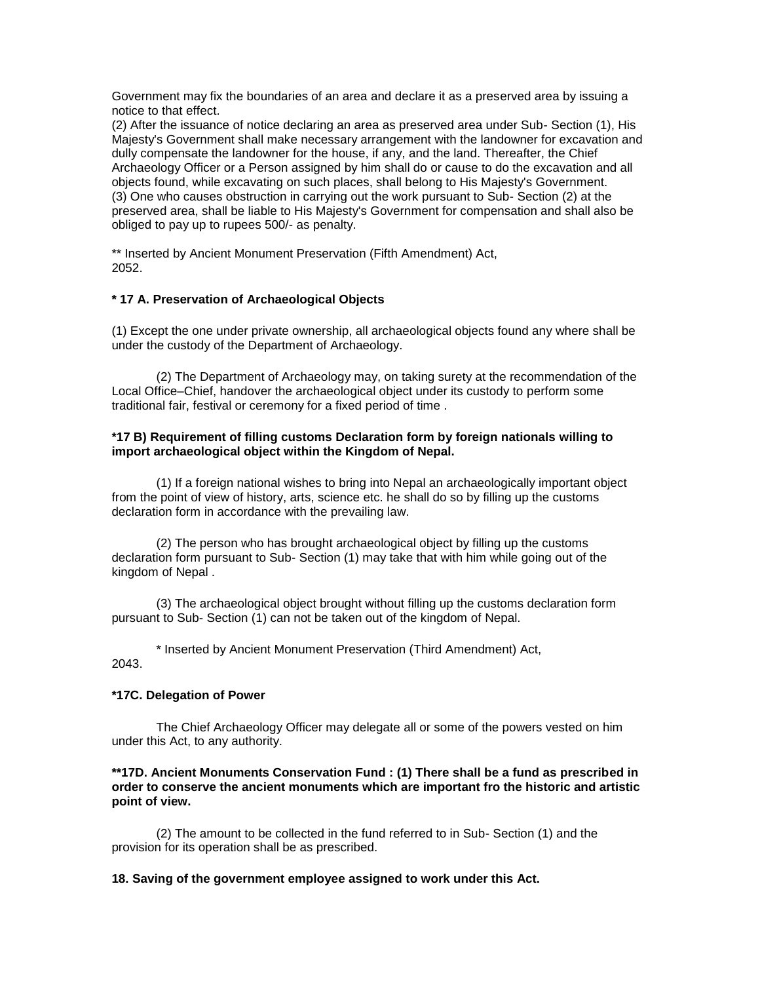Government may fix the boundaries of an area and declare it as a preserved area by issuing a notice to that effect.

(2) After the issuance of notice declaring an area as preserved area under Sub- Section (1), His Majesty's Government shall make necessary arrangement with the landowner for excavation and dully compensate the landowner for the house, if any, and the land. Thereafter, the Chief Archaeology Officer or a Person assigned by him shall do or cause to do the excavation and all objects found, while excavating on such places, shall belong to His Majesty's Government. (3) One who causes obstruction in carrying out the work pursuant to Sub- Section (2) at the preserved area, shall be liable to His Majesty's Government for compensation and shall also be obliged to pay up to rupees 500/- as penalty.

\*\* Inserted by Ancient Monument Preservation (Fifth Amendment) Act, 2052.

## **\* 17 A. Preservation of Archaeological Objects**

(1) Except the one under private ownership, all archaeological objects found any where shall be under the custody of the Department of Archaeology.

(2) The Department of Archaeology may, on taking surety at the recommendation of the Local Office–Chief, handover the archaeological object under its custody to perform some traditional fair, festival or ceremony for a fixed period of time .

## **\*17 B) Requirement of filling customs Declaration form by foreign nationals willing to import archaeological object within the Kingdom of Nepal.**

(1) If a foreign national wishes to bring into Nepal an archaeologically important object from the point of view of history, arts, science etc. he shall do so by filling up the customs declaration form in accordance with the prevailing law.

(2) The person who has brought archaeological object by filling up the customs declaration form pursuant to Sub- Section (1) may take that with him while going out of the kingdom of Nepal .

(3) The archaeological object brought without filling up the customs declaration form pursuant to Sub- Section (1) can not be taken out of the kingdom of Nepal.

\* Inserted by Ancient Monument Preservation (Third Amendment) Act,

2043.

## **\*17C. Delegation of Power**

The Chief Archaeology Officer may delegate all or some of the powers vested on him under this Act, to any authority.

## **\*\*17D. Ancient Monuments Conservation Fund : (1) There shall be a fund as prescribed in order to conserve the ancient monuments which are important fro the historic and artistic point of view.**

(2) The amount to be collected in the fund referred to in Sub- Section (1) and the provision for its operation shall be as prescribed.

## **18. Saving of the government employee assigned to work under this Act.**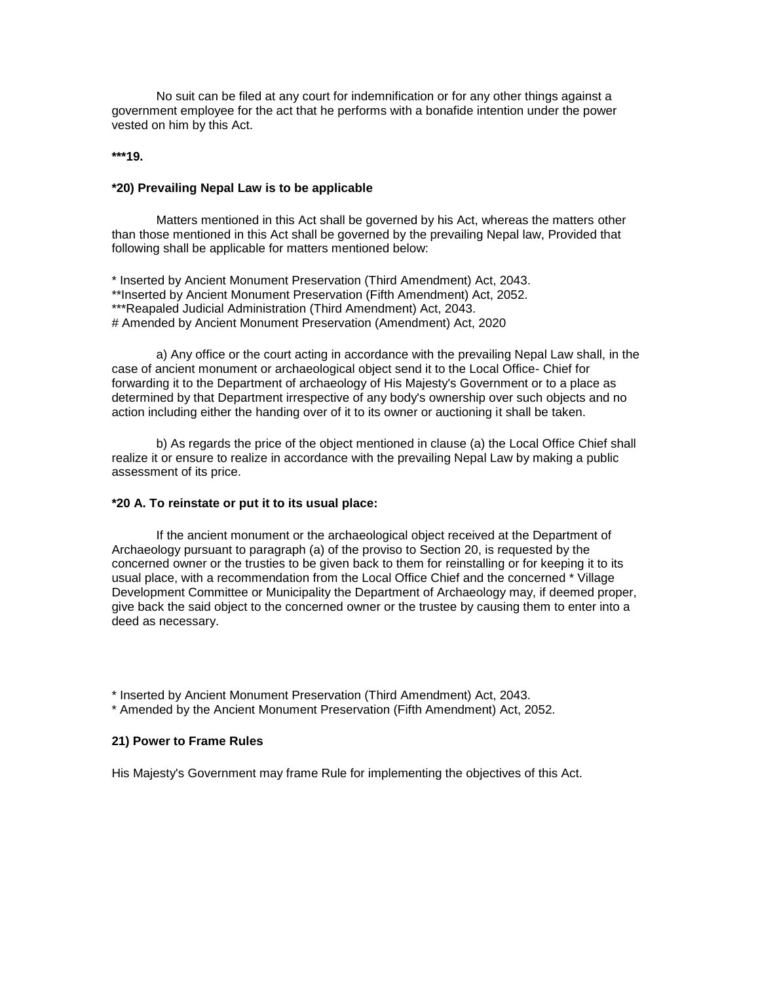No suit can be filed at any court for indemnification or for any other things against a government employee for the act that he performs with a bonafide intention under the power vested on him by this Act.

#### **\*\*\*19.**

#### **\*20) Prevailing Nepal Law is to be applicable**

Matters mentioned in this Act shall be governed by his Act, whereas the matters other than those mentioned in this Act shall be governed by the prevailing Nepal law, Provided that following shall be applicable for matters mentioned below:

\* Inserted by Ancient Monument Preservation (Third Amendment) Act, 2043. \*\*Inserted by Ancient Monument Preservation (Fifth Amendment) Act, 2052. \*\*\*Reapaled Judicial Administration (Third Amendment) Act, 2043. # Amended by Ancient Monument Preservation (Amendment) Act, 2020

a) Any office or the court acting in accordance with the prevailing Nepal Law shall, in the case of ancient monument or archaeological object send it to the Local Office- Chief for forwarding it to the Department of archaeology of His Majesty's Government or to a place as determined by that Department irrespective of any body's ownership over such objects and no action including either the handing over of it to its owner or auctioning it shall be taken.

b) As regards the price of the object mentioned in clause (a) the Local Office Chief shall realize it or ensure to realize in accordance with the prevailing Nepal Law by making a public assessment of its price.

#### **\*20 A. To reinstate or put it to its usual place:**

If the ancient monument or the archaeological object received at the Department of Archaeology pursuant to paragraph (a) of the proviso to Section 20, is requested by the concerned owner or the trusties to be given back to them for reinstalling or for keeping it to its usual place, with a recommendation from the Local Office Chief and the concerned \* Village Development Committee or Municipality the Department of Archaeology may, if deemed proper, give back the said object to the concerned owner or the trustee by causing them to enter into a deed as necessary.

\* Inserted by Ancient Monument Preservation (Third Amendment) Act, 2043.

\* Amended by the Ancient Monument Preservation (Fifth Amendment) Act, 2052.

#### **21) Power to Frame Rules**

His Majesty's Government may frame Rule for implementing the objectives of this Act.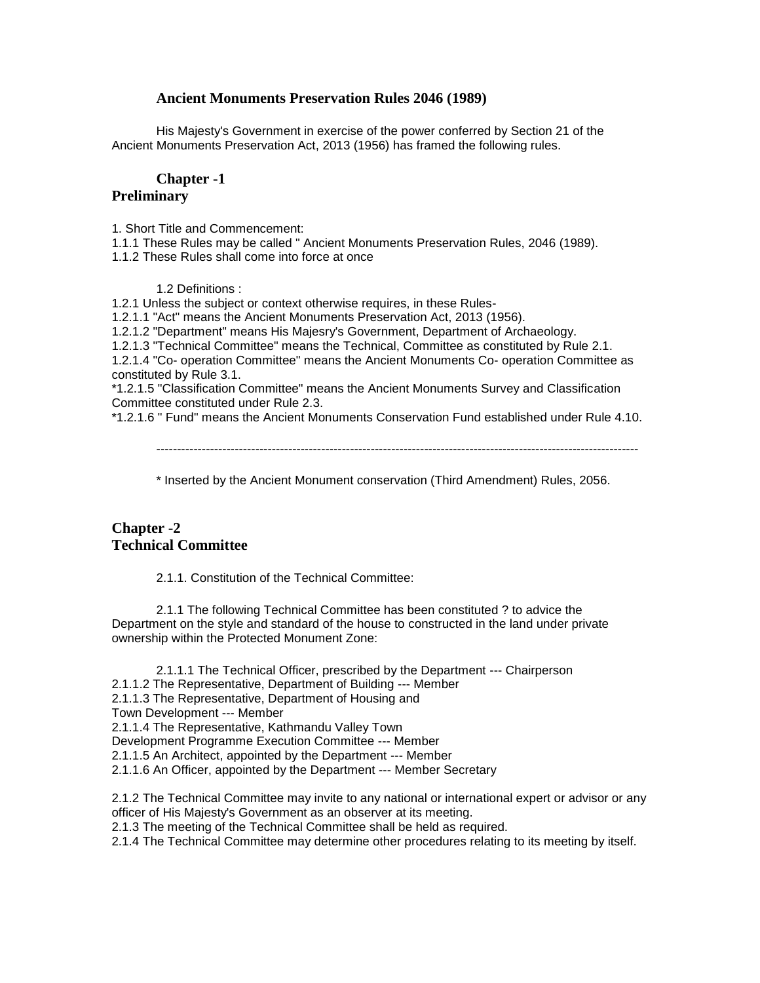## **Ancient Monuments Preservation Rules 2046 (1989)**

His Majesty's Government in exercise of the power conferred by Section 21 of the Ancient Monuments Preservation Act, 2013 (1956) has framed the following rules.

## **Chapter -1**

## **Preliminary**

1. Short Title and Commencement:

1.1.1 These Rules may be called " Ancient Monuments Preservation Rules, 2046 (1989).

1.1.2 These Rules shall come into force at once

1.2 Definitions :

1.2.1 Unless the subject or context otherwise requires, in these Rules-

1.2.1.1 "Act" means the Ancient Monuments Preservation Act, 2013 (1956).

1.2.1.2 "Department" means His Majesry's Government, Department of Archaeology.

1.2.1.3 "Technical Committee" means the Technical, Committee as constituted by Rule 2.1.

1.2.1.4 "Co- operation Committee" means the Ancient Monuments Co- operation Committee as constituted by Rule 3.1.

\*1.2.1.5 "Classification Committee" means the Ancient Monuments Survey and Classification Committee constituted under Rule 2.3.

\*1.2.1.6 " Fund" means the Ancient Monuments Conservation Fund established under Rule 4.10.

---------------------------------------------------------------------------------------------------------------------

\* Inserted by the Ancient Monument conservation (Third Amendment) Rules, 2056.

# **Chapter -2 Technical Committee**

2.1.1. Constitution of the Technical Committee:

2.1.1 The following Technical Committee has been constituted ? to advice the Department on the style and standard of the house to constructed in the land under private ownership within the Protected Monument Zone:

2.1.1.1 The Technical Officer, prescribed by the Department --- Chairperson 2.1.1.2 The Representative, Department of Building --- Member 2.1.1.3 The Representative, Department of Housing and Town Development --- Member 2.1.1.4 The Representative, Kathmandu Valley Town Development Programme Execution Committee --- Member 2.1.1.5 An Architect, appointed by the Department --- Member 2.1.1.6 An Officer, appointed by the Department --- Member Secretary

2.1.2 The Technical Committee may invite to any national or international expert or advisor or any officer of His Majesty's Government as an observer at its meeting.

2.1.3 The meeting of the Technical Committee shall be held as required.

2.1.4 The Technical Committee may determine other procedures relating to its meeting by itself.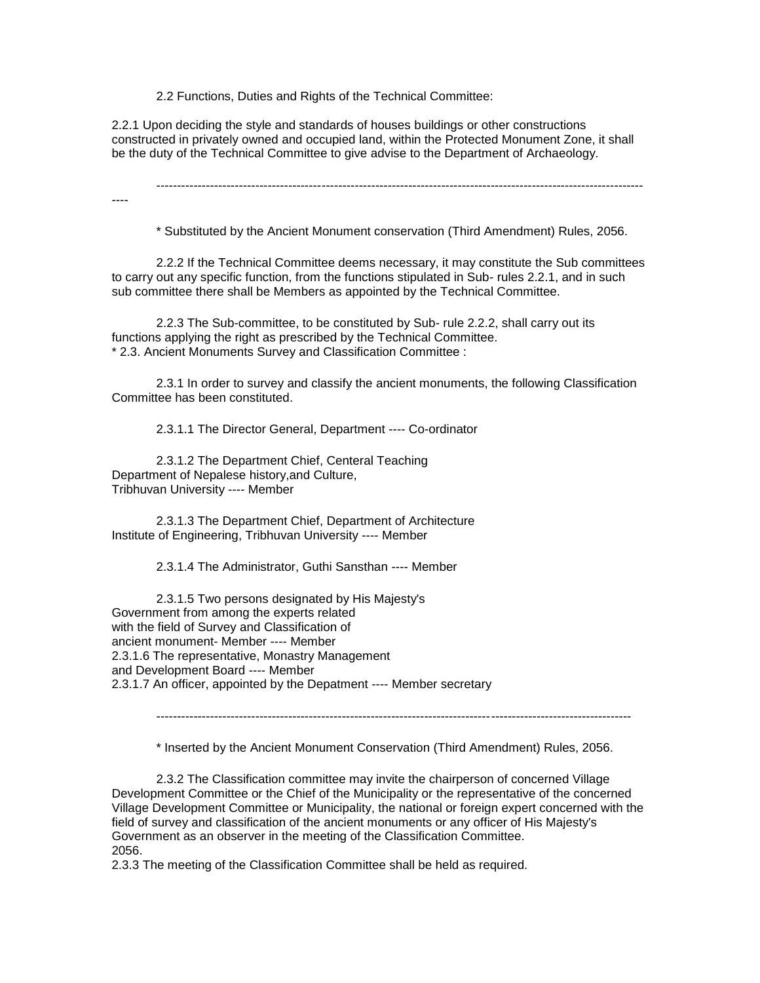2.2 Functions, Duties and Rights of the Technical Committee:

2.2.1 Upon deciding the style and standards of houses buildings or other constructions constructed in privately owned and occupied land, within the Protected Monument Zone, it shall be the duty of the Technical Committee to give advise to the Department of Archaeology.

----------------------------------------------------------------------------------------------------------------------

----

\* Substituted by the Ancient Monument conservation (Third Amendment) Rules, 2056.

2.2.2 If the Technical Committee deems necessary, it may constitute the Sub committees to carry out any specific function, from the functions stipulated in Sub- rules 2.2.1, and in such sub committee there shall be Members as appointed by the Technical Committee.

2.2.3 The Sub-committee, to be constituted by Sub- rule 2.2.2, shall carry out its functions applying the right as prescribed by the Technical Committee. \* 2.3. Ancient Monuments Survey and Classification Committee :

2.3.1 In order to survey and classify the ancient monuments, the following Classification Committee has been constituted.

2.3.1.1 The Director General, Department ---- Co-ordinator

2.3.1.2 The Department Chief, Centeral Teaching Department of Nepalese history,and Culture, Tribhuvan University ---- Member

2.3.1.3 The Department Chief, Department of Architecture Institute of Engineering, Tribhuvan University ---- Member

2.3.1.4 The Administrator, Guthi Sansthan ---- Member

2.3.1.5 Two persons designated by His Majesty's Government from among the experts related with the field of Survey and Classification of ancient monument- Member ---- Member 2.3.1.6 The representative, Monastry Management and Development Board ---- Member 2.3.1.7 An officer, appointed by the Depatment ---- Member secretary

-------------------------------------------------------------------------------------------------------------------

\* Inserted by the Ancient Monument Conservation (Third Amendment) Rules, 2056.

2.3.2 The Classification committee may invite the chairperson of concerned Village Development Committee or the Chief of the Municipality or the representative of the concerned Village Development Committee or Municipality, the national or foreign expert concerned with the field of survey and classification of the ancient monuments or any officer of His Majesty's Government as an observer in the meeting of the Classification Committee. 2056.

2.3.3 The meeting of the Classification Committee shall be held as required.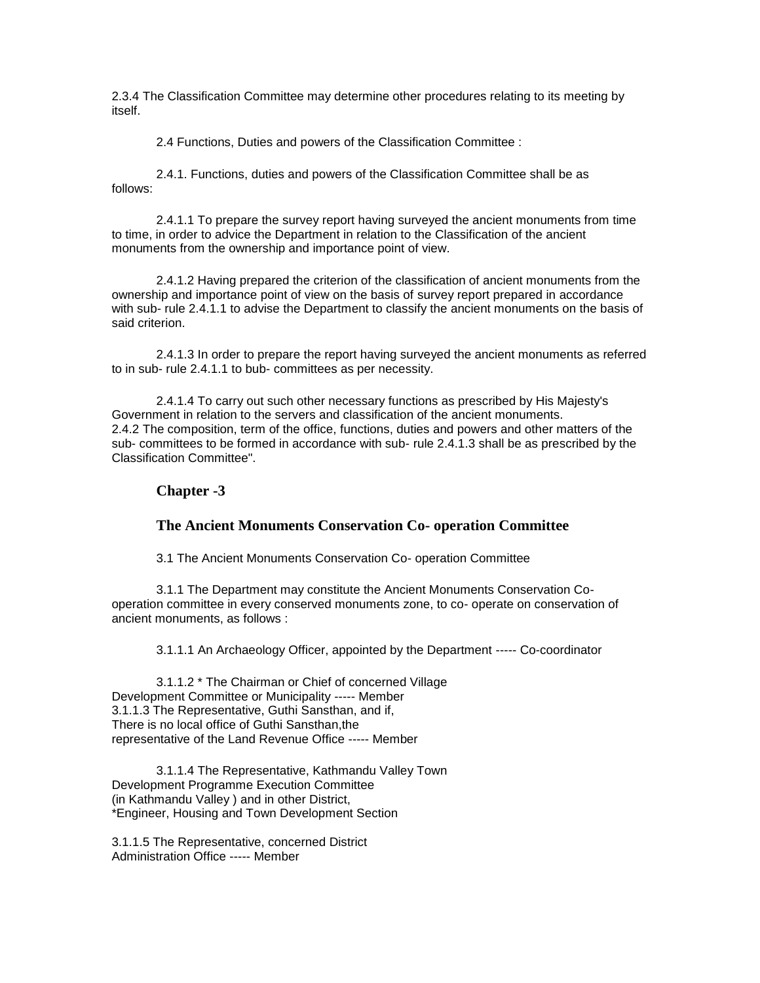2.3.4 The Classification Committee may determine other procedures relating to its meeting by itself.

2.4 Functions, Duties and powers of the Classification Committee :

2.4.1. Functions, duties and powers of the Classification Committee shall be as follows:

2.4.1.1 To prepare the survey report having surveyed the ancient monuments from time to time, in order to advice the Department in relation to the Classification of the ancient monuments from the ownership and importance point of view.

2.4.1.2 Having prepared the criterion of the classification of ancient monuments from the ownership and importance point of view on the basis of survey report prepared in accordance with sub- rule 2.4.1.1 to advise the Department to classify the ancient monuments on the basis of said criterion.

2.4.1.3 In order to prepare the report having surveyed the ancient monuments as referred to in sub- rule 2.4.1.1 to bub- committees as per necessity.

2.4.1.4 To carry out such other necessary functions as prescribed by His Majesty's Government in relation to the servers and classification of the ancient monuments. 2.4.2 The composition, term of the office, functions, duties and powers and other matters of the sub- committees to be formed in accordance with sub- rule 2.4.1.3 shall be as prescribed by the Classification Committee".

## **Chapter -3**

## **The Ancient Monuments Conservation Co- operation Committee**

3.1 The Ancient Monuments Conservation Co- operation Committee

3.1.1 The Department may constitute the Ancient Monuments Conservation Cooperation committee in every conserved monuments zone, to co- operate on conservation of ancient monuments, as follows :

3.1.1.1 An Archaeology Officer, appointed by the Department ----- Co-coordinator

3.1.1.2 \* The Chairman or Chief of concerned Village Development Committee or Municipality ----- Member 3.1.1.3 The Representative, Guthi Sansthan, and if, There is no local office of Guthi Sansthan,the representative of the Land Revenue Office ----- Member

3.1.1.4 The Representative, Kathmandu Valley Town Development Programme Execution Committee (in Kathmandu Valley ) and in other District, \*Engineer, Housing and Town Development Section

3.1.1.5 The Representative, concerned District Administration Office ----- Member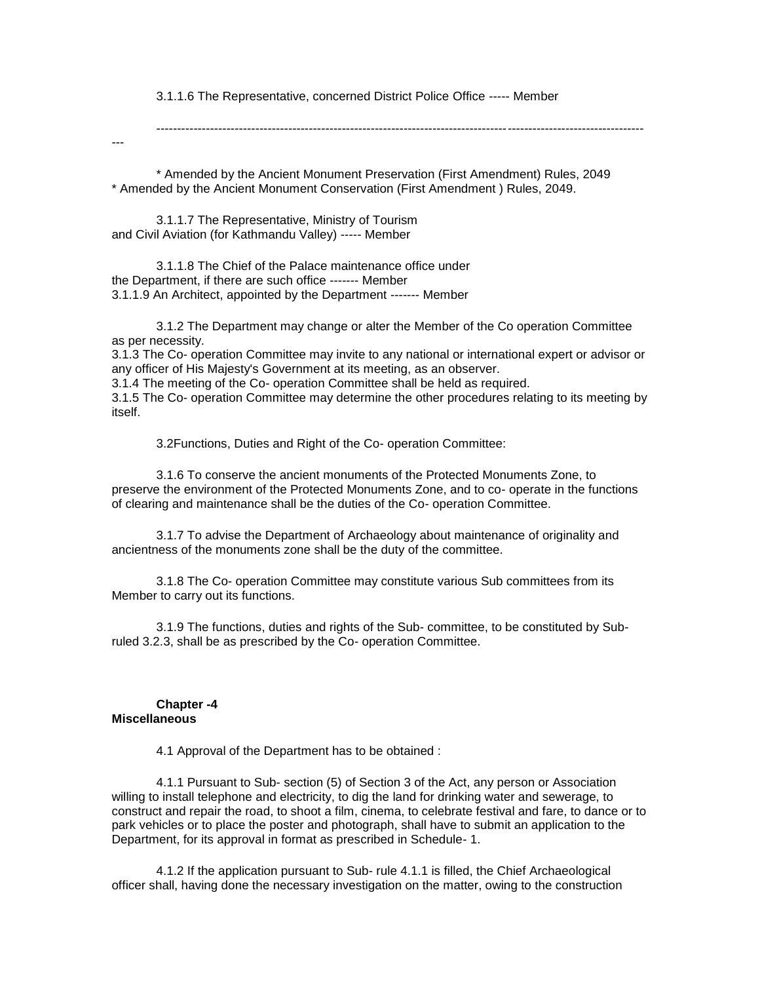3.1.1.6 The Representative, concerned District Police Office ----- Member

----------------------------------------------------------------------------------------------------------------------

---

\* Amended by the Ancient Monument Preservation (First Amendment) Rules, 2049 \* Amended by the Ancient Monument Conservation (First Amendment ) Rules, 2049.

3.1.1.7 The Representative, Ministry of Tourism and Civil Aviation (for Kathmandu Valley) ----- Member

3.1.1.8 The Chief of the Palace maintenance office under the Department, if there are such office ------- Member 3.1.1.9 An Architect, appointed by the Department ------- Member

3.1.2 The Department may change or alter the Member of the Co operation Committee as per necessity.

3.1.3 The Co- operation Committee may invite to any national or international expert or advisor or any officer of His Majesty's Government at its meeting, as an observer.

3.1.4 The meeting of the Co- operation Committee shall be held as required.

3.1.5 The Co- operation Committee may determine the other procedures relating to its meeting by itself.

3.2Functions, Duties and Right of the Co- operation Committee:

3.1.6 To conserve the ancient monuments of the Protected Monuments Zone, to preserve the environment of the Protected Monuments Zone, and to co- operate in the functions of clearing and maintenance shall be the duties of the Co- operation Committee.

3.1.7 To advise the Department of Archaeology about maintenance of originality and ancientness of the monuments zone shall be the duty of the committee.

3.1.8 The Co- operation Committee may constitute various Sub committees from its Member to carry out its functions.

3.1.9 The functions, duties and rights of the Sub- committee, to be constituted by Subruled 3.2.3, shall be as prescribed by the Co- operation Committee.

#### **Chapter -4 Miscellaneous**

4.1 Approval of the Department has to be obtained :

4.1.1 Pursuant to Sub- section (5) of Section 3 of the Act, any person or Association willing to install telephone and electricity, to dig the land for drinking water and sewerage, to construct and repair the road, to shoot a film, cinema, to celebrate festival and fare, to dance or to park vehicles or to place the poster and photograph, shall have to submit an application to the Department, for its approval in format as prescribed in Schedule- 1.

4.1.2 If the application pursuant to Sub- rule 4.1.1 is filled, the Chief Archaeological officer shall, having done the necessary investigation on the matter, owing to the construction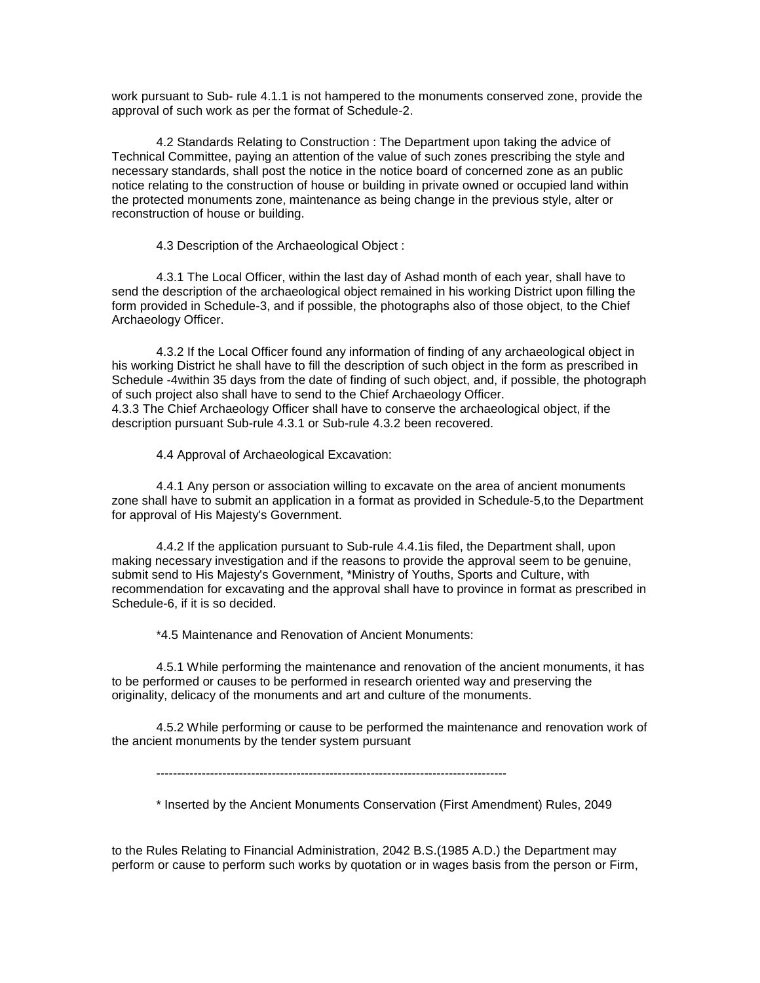work pursuant to Sub- rule 4.1.1 is not hampered to the monuments conserved zone, provide the approval of such work as per the format of Schedule-2.

4.2 Standards Relating to Construction : The Department upon taking the advice of Technical Committee, paying an attention of the value of such zones prescribing the style and necessary standards, shall post the notice in the notice board of concerned zone as an public notice relating to the construction of house or building in private owned or occupied land within the protected monuments zone, maintenance as being change in the previous style, alter or reconstruction of house or building.

4.3 Description of the Archaeological Object :

4.3.1 The Local Officer, within the last day of Ashad month of each year, shall have to send the description of the archaeological object remained in his working District upon filling the form provided in Schedule-3, and if possible, the photographs also of those object, to the Chief Archaeology Officer.

4.3.2 If the Local Officer found any information of finding of any archaeological object in his working District he shall have to fill the description of such object in the form as prescribed in Schedule -4within 35 days from the date of finding of such object, and, if possible, the photograph of such project also shall have to send to the Chief Archaeology Officer. 4.3.3 The Chief Archaeology Officer shall have to conserve the archaeological object, if the description pursuant Sub-rule 4.3.1 or Sub-rule 4.3.2 been recovered.

4.4 Approval of Archaeological Excavation:

4.4.1 Any person or association willing to excavate on the area of ancient monuments zone shall have to submit an application in a format as provided in Schedule-5,to the Department for approval of His Majesty's Government.

4.4.2 If the application pursuant to Sub-rule 4.4.1is filed, the Department shall, upon making necessary investigation and if the reasons to provide the approval seem to be genuine, submit send to His Majesty's Government, \*Ministry of Youths, Sports and Culture, with recommendation for excavating and the approval shall have to province in format as prescribed in Schedule-6, if it is so decided.

\*4.5 Maintenance and Renovation of Ancient Monuments:

4.5.1 While performing the maintenance and renovation of the ancient monuments, it has to be performed or causes to be performed in research oriented way and preserving the originality, delicacy of the monuments and art and culture of the monuments.

4.5.2 While performing or cause to be performed the maintenance and renovation work of the ancient monuments by the tender system pursuant

-------------------------------------------------------------------------------------

\* Inserted by the Ancient Monuments Conservation (First Amendment) Rules, 2049

to the Rules Relating to Financial Administration, 2042 B.S.(1985 A.D.) the Department may perform or cause to perform such works by quotation or in wages basis from the person or Firm,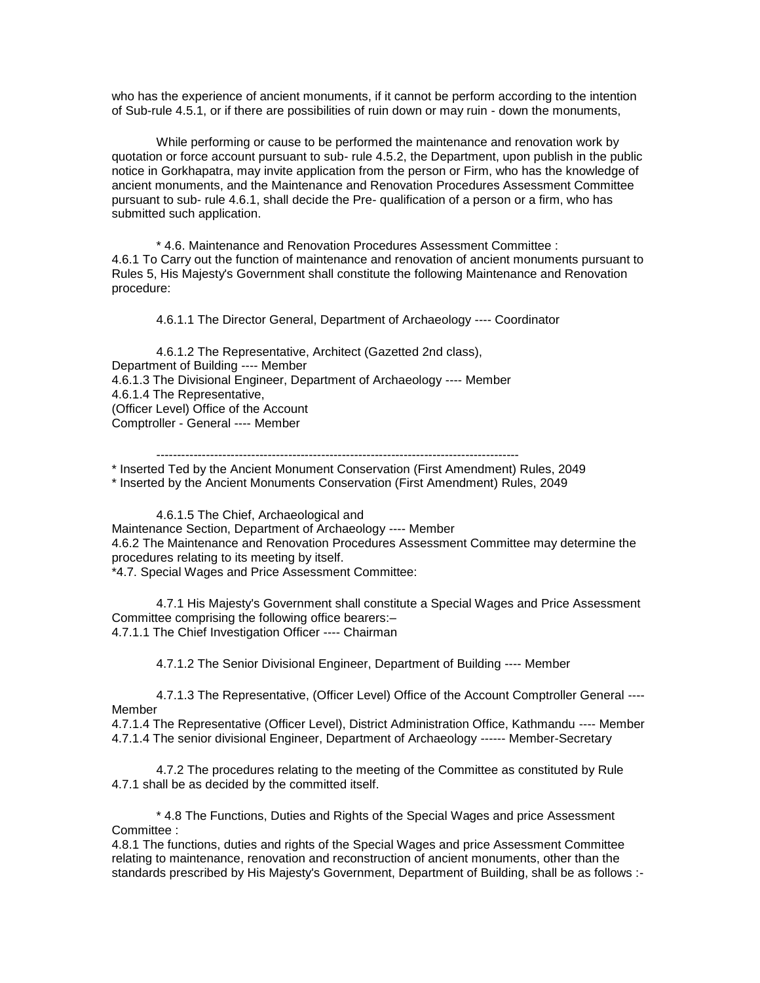who has the experience of ancient monuments, if it cannot be perform according to the intention of Sub-rule 4.5.1, or if there are possibilities of ruin down or may ruin - down the monuments,

While performing or cause to be performed the maintenance and renovation work by quotation or force account pursuant to sub- rule 4.5.2, the Department, upon publish in the public notice in Gorkhapatra, may invite application from the person or Firm, who has the knowledge of ancient monuments, and the Maintenance and Renovation Procedures Assessment Committee pursuant to sub- rule 4.6.1, shall decide the Pre- qualification of a person or a firm, who has submitted such application.

\* 4.6. Maintenance and Renovation Procedures Assessment Committee : 4.6.1 To Carry out the function of maintenance and renovation of ancient monuments pursuant to Rules 5, His Majesty's Government shall constitute the following Maintenance and Renovation procedure:

4.6.1.1 The Director General, Department of Archaeology ---- Coordinator

4.6.1.2 The Representative, Architect (Gazetted 2nd class), Department of Building ---- Member 4.6.1.3 The Divisional Engineer, Department of Archaeology ---- Member 4.6.1.4 The Representative, (Officer Level) Office of the Account Comptroller - General ---- Member

----------------------------------------------------------------------------------------

\* Inserted Ted by the Ancient Monument Conservation (First Amendment) Rules, 2049 \* Inserted by the Ancient Monuments Conservation (First Amendment) Rules, 2049

4.6.1.5 The Chief, Archaeological and

Maintenance Section, Department of Archaeology ---- Member

4.6.2 The Maintenance and Renovation Procedures Assessment Committee may determine the procedures relating to its meeting by itself.

\*4.7. Special Wages and Price Assessment Committee:

4.7.1 His Majesty's Government shall constitute a Special Wages and Price Assessment Committee comprising the following office bearers:– 4.7.1.1 The Chief Investigation Officer ---- Chairman

4.7.1.2 The Senior Divisional Engineer, Department of Building ---- Member

4.7.1.3 The Representative, (Officer Level) Office of the Account Comptroller General ---- **Member** 

4.7.1.4 The Representative (Officer Level), District Administration Office, Kathmandu ---- Member 4.7.1.4 The senior divisional Engineer, Department of Archaeology ------ Member-Secretary

4.7.2 The procedures relating to the meeting of the Committee as constituted by Rule 4.7.1 shall be as decided by the committed itself.

\* 4.8 The Functions, Duties and Rights of the Special Wages and price Assessment Committee :

4.8.1 The functions, duties and rights of the Special Wages and price Assessment Committee relating to maintenance, renovation and reconstruction of ancient monuments, other than the standards prescribed by His Majesty's Government, Department of Building, shall be as follows :-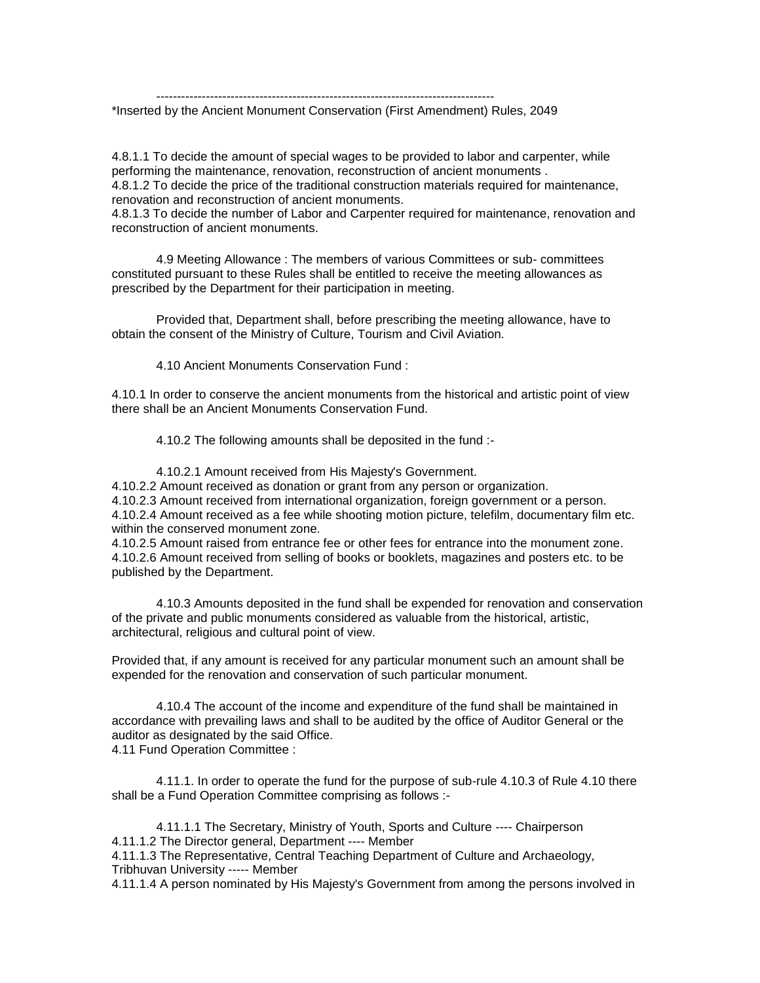----------------------------------------------------------------------------------

\*Inserted by the Ancient Monument Conservation (First Amendment) Rules, 2049

4.8.1.1 To decide the amount of special wages to be provided to labor and carpenter, while performing the maintenance, renovation, reconstruction of ancient monuments .

4.8.1.2 To decide the price of the traditional construction materials required for maintenance, renovation and reconstruction of ancient monuments.

4.8.1.3 To decide the number of Labor and Carpenter required for maintenance, renovation and reconstruction of ancient monuments.

4.9 Meeting Allowance : The members of various Committees or sub- committees constituted pursuant to these Rules shall be entitled to receive the meeting allowances as prescribed by the Department for their participation in meeting.

Provided that, Department shall, before prescribing the meeting allowance, have to obtain the consent of the Ministry of Culture, Tourism and Civil Aviation.

4.10 Ancient Monuments Conservation Fund :

4.10.1 In order to conserve the ancient monuments from the historical and artistic point of view there shall be an Ancient Monuments Conservation Fund.

4.10.2 The following amounts shall be deposited in the fund :-

4.10.2.1 Amount received from His Majesty's Government. 4.10.2.2 Amount received as donation or grant from any person or organization. 4.10.2.3 Amount received from international organization, foreign government or a person. 4.10.2.4 Amount received as a fee while shooting motion picture, telefilm, documentary film etc. within the conserved monument zone.

4.10.2.5 Amount raised from entrance fee or other fees for entrance into the monument zone. 4.10.2.6 Amount received from selling of books or booklets, magazines and posters etc. to be published by the Department.

4.10.3 Amounts deposited in the fund shall be expended for renovation and conservation of the private and public monuments considered as valuable from the historical, artistic, architectural, religious and cultural point of view.

Provided that, if any amount is received for any particular monument such an amount shall be expended for the renovation and conservation of such particular monument.

4.10.4 The account of the income and expenditure of the fund shall be maintained in accordance with prevailing laws and shall to be audited by the office of Auditor General or the auditor as designated by the said Office. 4.11 Fund Operation Committee :

4.11.1. In order to operate the fund for the purpose of sub-rule 4.10.3 of Rule 4.10 there shall be a Fund Operation Committee comprising as follows :-

4.11.1.1 The Secretary, Ministry of Youth, Sports and Culture ---- Chairperson 4.11.1.2 The Director general, Department ---- Member 4.11.1.3 The Representative, Central Teaching Department of Culture and Archaeology, Tribhuvan University ----- Member

4.11.1.4 A person nominated by His Majesty's Government from among the persons involved in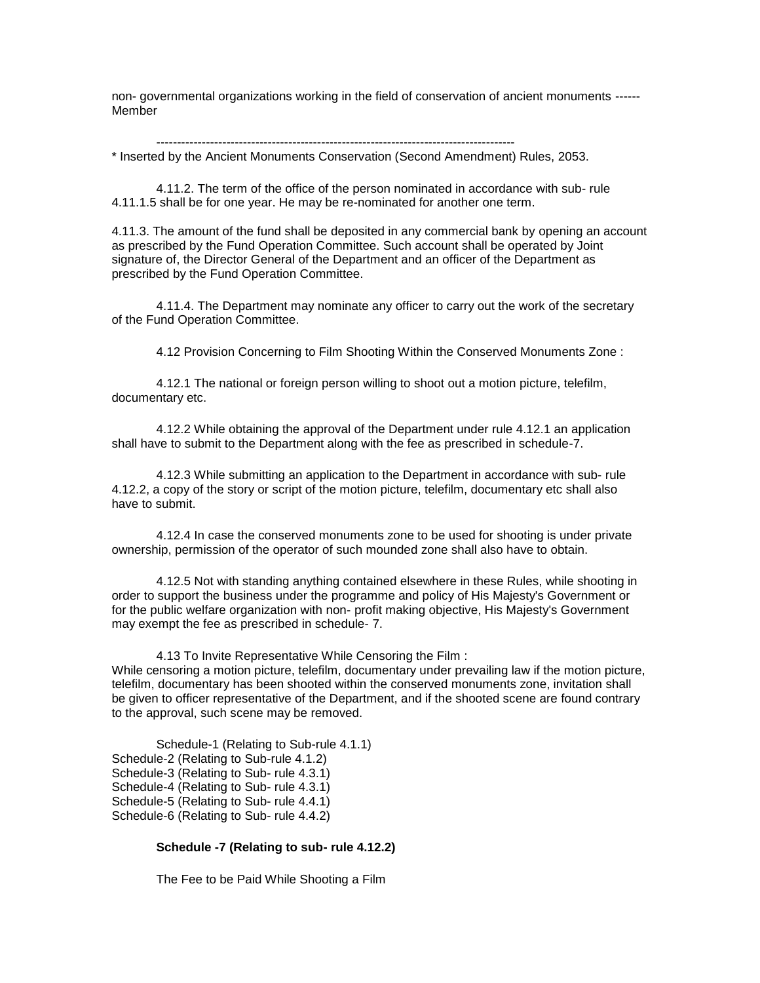non- governmental organizations working in the field of conservation of ancient monuments ------ Member

--------------------------------------------------------------------------------------- \* Inserted by the Ancient Monuments Conservation (Second Amendment) Rules, 2053.

4.11.2. The term of the office of the person nominated in accordance with sub- rule 4.11.1.5 shall be for one year. He may be re-nominated for another one term.

4.11.3. The amount of the fund shall be deposited in any commercial bank by opening an account as prescribed by the Fund Operation Committee. Such account shall be operated by Joint signature of, the Director General of the Department and an officer of the Department as prescribed by the Fund Operation Committee.

4.11.4. The Department may nominate any officer to carry out the work of the secretary of the Fund Operation Committee.

4.12 Provision Concerning to Film Shooting Within the Conserved Monuments Zone :

4.12.1 The national or foreign person willing to shoot out a motion picture, telefilm, documentary etc.

4.12.2 While obtaining the approval of the Department under rule 4.12.1 an application shall have to submit to the Department along with the fee as prescribed in schedule-7.

4.12.3 While submitting an application to the Department in accordance with sub- rule 4.12.2, a copy of the story or script of the motion picture, telefilm, documentary etc shall also have to submit.

4.12.4 In case the conserved monuments zone to be used for shooting is under private ownership, permission of the operator of such mounded zone shall also have to obtain.

4.12.5 Not with standing anything contained elsewhere in these Rules, while shooting in order to support the business under the programme and policy of His Majesty's Government or for the public welfare organization with non- profit making objective, His Majesty's Government may exempt the fee as prescribed in schedule- 7.

4.13 To Invite Representative While Censoring the Film : While censoring a motion picture, telefilm, documentary under prevailing law if the motion picture, telefilm, documentary has been shooted within the conserved monuments zone, invitation shall be given to officer representative of the Department, and if the shooted scene are found contrary to the approval, such scene may be removed.

[Schedule-1 \(Relating to Sub-rule 4.1.1\)](http://www.doa.gov.np/downloads/Schedule-1.doc) [Schedule-2 \(Relating to Sub-rule 4.1.2\)](http://www.doa.gov.np/downloads/Schedule-2.doc) [Schedule-3 \(Relating to Sub-](http://www.doa.gov.np/downloads/Schedule-3.doc) rule 4.3.1) [Schedule-4 \(Relating to Sub-](http://www.doa.gov.np/downloads/Schedule-4.doc) rule 4.3.1) [Schedule-5 \(Relating to Sub-](http://www.doa.gov.np/downloads/Schedule-5.doc) rule 4.4.1) [Schedule-6 \(Relating to Sub-](http://www.doa.gov.np/downloads/Schedule-6.doc) rule 4.4.2)

## **Schedule -7 (Relating to sub- rule 4.12.2)**

The Fee to be Paid While Shooting a Film